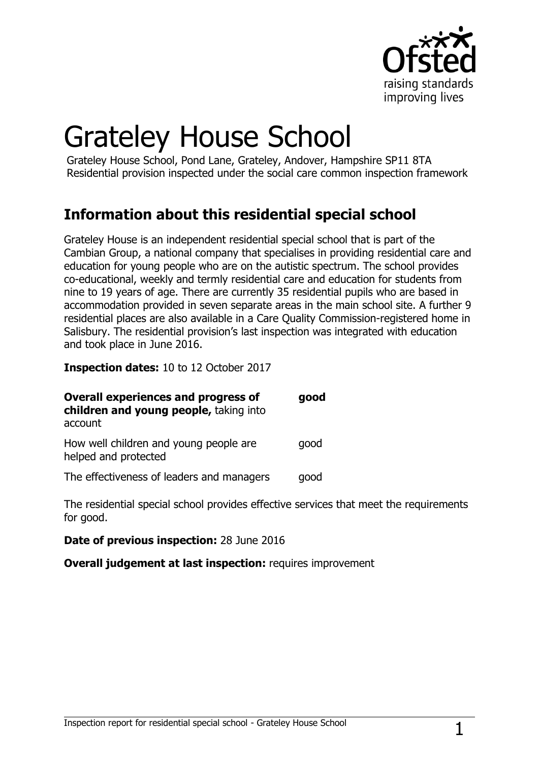

# Grateley House School

Grateley House School, Pond Lane, Grateley, Andover, Hampshire SP11 8TA Residential provision inspected under the social care common inspection framework

### **Information about this residential special school**

Grateley House is an independent residential special school that is part of the Cambian Group, a national company that specialises in providing residential care and education for young people who are on the autistic spectrum. The school provides co-educational, weekly and termly residential care and education for students from nine to 19 years of age. There are currently 35 residential pupils who are based in accommodation provided in seven separate areas in the main school site. A further 9 residential places are also available in a Care Quality Commission-registered home in Salisbury. The residential provision's last inspection was integrated with education and took place in June 2016.

**Inspection dates:** 10 to 12 October 2017

| <b>Overall experiences and progress of</b><br>children and young people, taking into<br>account | good |
|-------------------------------------------------------------------------------------------------|------|
| How well children and young people are<br>helped and protected                                  | qood |
| The effectiveness of leaders and managers                                                       | good |

The residential special school provides effective services that meet the requirements for good.

**Date of previous inspection:** 28 June 2016

**Overall judgement at last inspection:** requires improvement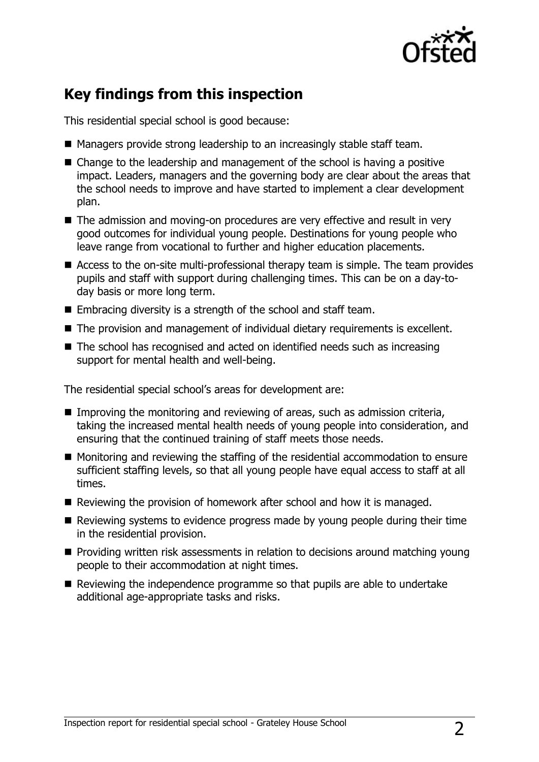

### **Key findings from this inspection**

This residential special school is good because:

- Managers provide strong leadership to an increasingly stable staff team.
- Change to the leadership and management of the school is having a positive impact. Leaders, managers and the governing body are clear about the areas that the school needs to improve and have started to implement a clear development plan.
- The admission and moving-on procedures are very effective and result in very good outcomes for individual young people. Destinations for young people who leave range from vocational to further and higher education placements.
- Access to the on-site multi-professional therapy team is simple. The team provides pupils and staff with support during challenging times. This can be on a day-today basis or more long term.
- Embracing diversity is a strength of the school and staff team.
- The provision and management of individual dietary requirements is excellent.
- The school has recognised and acted on identified needs such as increasing support for mental health and well-being.

The residential special school's areas for development are:

- Improving the monitoring and reviewing of areas, such as admission criteria, taking the increased mental health needs of young people into consideration, and ensuring that the continued training of staff meets those needs.
- Monitoring and reviewing the staffing of the residential accommodation to ensure sufficient staffing levels, so that all young people have equal access to staff at all times.
- $\blacksquare$  Reviewing the provision of homework after school and how it is managed.
- $\blacksquare$  Reviewing systems to evidence progress made by young people during their time in the residential provision.
- $\blacksquare$  Providing written risk assessments in relation to decisions around matching young people to their accommodation at night times.
- Reviewing the independence programme so that pupils are able to undertake additional age-appropriate tasks and risks.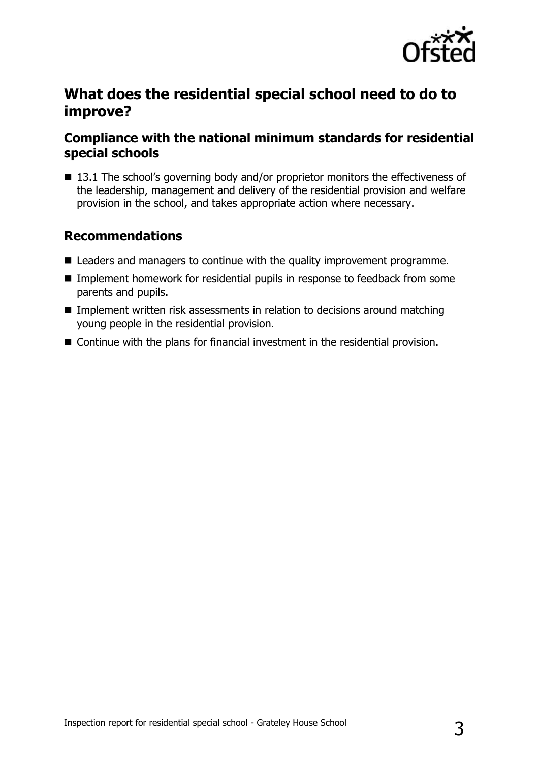

### **What does the residential special school need to do to improve?**

### **Compliance with the national minimum standards for residential special schools**

■ 13.1 The school's governing body and/or proprietor monitors the effectiveness of the leadership, management and delivery of the residential provision and welfare provision in the school, and takes appropriate action where necessary.

### **Recommendations**

- Leaders and managers to continue with the quality improvement programme.
- Implement homework for residential pupils in response to feedback from some parents and pupils.
- **IMP** Implement written risk assessments in relation to decisions around matching young people in the residential provision.
- Continue with the plans for financial investment in the residential provision.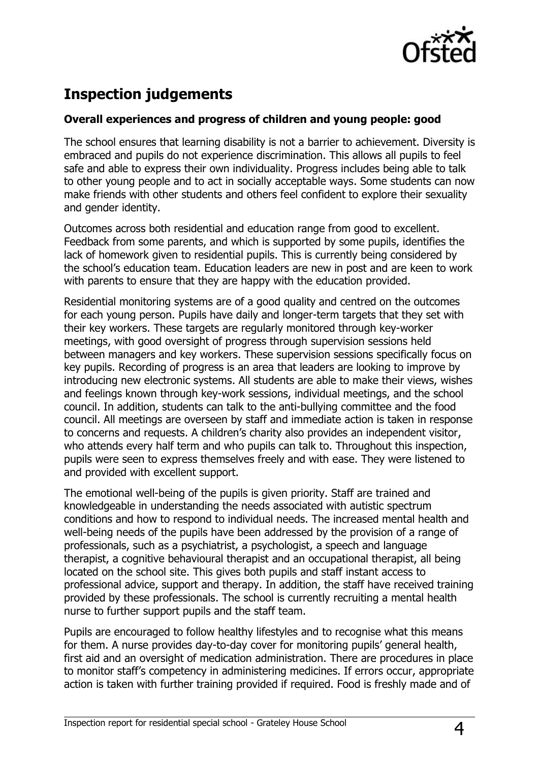

## **Inspection judgements**

#### **Overall experiences and progress of children and young people: good**

The school ensures that learning disability is not a barrier to achievement. Diversity is embraced and pupils do not experience discrimination. This allows all pupils to feel safe and able to express their own individuality. Progress includes being able to talk to other young people and to act in socially acceptable ways. Some students can now make friends with other students and others feel confident to explore their sexuality and gender identity.

Outcomes across both residential and education range from good to excellent. Feedback from some parents, and which is supported by some pupils, identifies the lack of homework given to residential pupils. This is currently being considered by the school's education team. Education leaders are new in post and are keen to work with parents to ensure that they are happy with the education provided.

Residential monitoring systems are of a good quality and centred on the outcomes for each young person. Pupils have daily and longer-term targets that they set with their key workers. These targets are regularly monitored through key-worker meetings, with good oversight of progress through supervision sessions held between managers and key workers. These supervision sessions specifically focus on key pupils. Recording of progress is an area that leaders are looking to improve by introducing new electronic systems. All students are able to make their views, wishes and feelings known through key-work sessions, individual meetings, and the school council. In addition, students can talk to the anti-bullying committee and the food council. All meetings are overseen by staff and immediate action is taken in response to concerns and requests. A children's charity also provides an independent visitor, who attends every half term and who pupils can talk to. Throughout this inspection, pupils were seen to express themselves freely and with ease. They were listened to and provided with excellent support.

The emotional well-being of the pupils is given priority. Staff are trained and knowledgeable in understanding the needs associated with autistic spectrum conditions and how to respond to individual needs. The increased mental health and well-being needs of the pupils have been addressed by the provision of a range of professionals, such as a psychiatrist, a psychologist, a speech and language therapist, a cognitive behavioural therapist and an occupational therapist, all being located on the school site. This gives both pupils and staff instant access to professional advice, support and therapy. In addition, the staff have received training provided by these professionals. The school is currently recruiting a mental health nurse to further support pupils and the staff team.

Pupils are encouraged to follow healthy lifestyles and to recognise what this means for them. A nurse provides day-to-day cover for monitoring pupils' general health, first aid and an oversight of medication administration. There are procedures in place to monitor staff's competency in administering medicines. If errors occur, appropriate action is taken with further training provided if required. Food is freshly made and of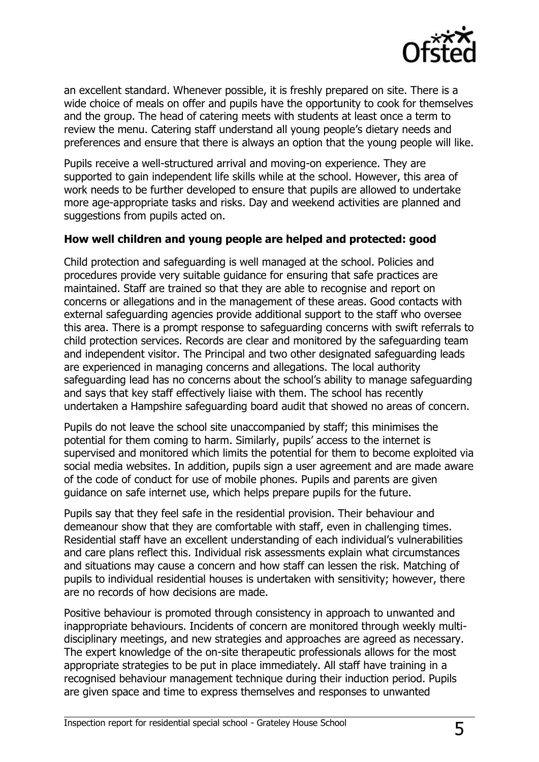

an excellent standard. Whenever possible, it is freshly prepared on site. There is a wide choice of meals on offer and pupils have the opportunity to cook for themselves and the group. The head of catering meets with students at least once a term to review the menu. Catering staff understand all young people's dietary needs and preferences and ensure that there is always an option that the young people will like.

Pupils receive a well-structured arrival and moving-on experience. They are supported to gain independent life skills while at the school. However, this area of work needs to be further developed to ensure that pupils are allowed to undertake more age-appropriate tasks and risks. Day and weekend activities are planned and suggestions from pupils acted on.

#### **How well children and young people are helped and protected: good**

Child protection and safeguarding is well managed at the school. Policies and procedures provide very suitable guidance for ensuring that safe practices are maintained. Staff are trained so that they are able to recognise and report on concerns or allegations and in the management of these areas. Good contacts with external safeguarding agencies provide additional support to the staff who oversee this area. There is a prompt response to safeguarding concerns with swift referrals to child protection services. Records are clear and monitored by the safeguarding team and independent visitor. The Principal and two other designated safeguarding leads are experienced in managing concerns and allegations. The local authority safeguarding lead has no concerns about the school's ability to manage safeguarding and says that key staff effectively liaise with them. The school has recently undertaken a Hampshire safeguarding board audit that showed no areas of concern.

Pupils do not leave the school site unaccompanied by staff; this minimises the potential for them coming to harm. Similarly, pupils' access to the internet is supervised and monitored which limits the potential for them to become exploited via social media websites. In addition, pupils sign a user agreement and are made aware of the code of conduct for use of mobile phones. Pupils and parents are given guidance on safe internet use, which helps prepare pupils for the future.

Pupils say that they feel safe in the residential provision. Their behaviour and demeanour show that they are comfortable with staff, even in challenging times. Residential staff have an excellent understanding of each individual's vulnerabilities and care plans reflect this. Individual risk assessments explain what circumstances and situations may cause a concern and how staff can lessen the risk. Matching of pupils to individual residential houses is undertaken with sensitivity; however, there are no records of how decisions are made.

Positive behaviour is promoted through consistency in approach to unwanted and inappropriate behaviours. Incidents of concern are monitored through weekly multidisciplinary meetings, and new strategies and approaches are agreed as necessary. The expert knowledge of the on-site therapeutic professionals allows for the most appropriate strategies to be put in place immediately. All staff have training in a recognised behaviour management technique during their induction period. Pupils are given space and time to express themselves and responses to unwanted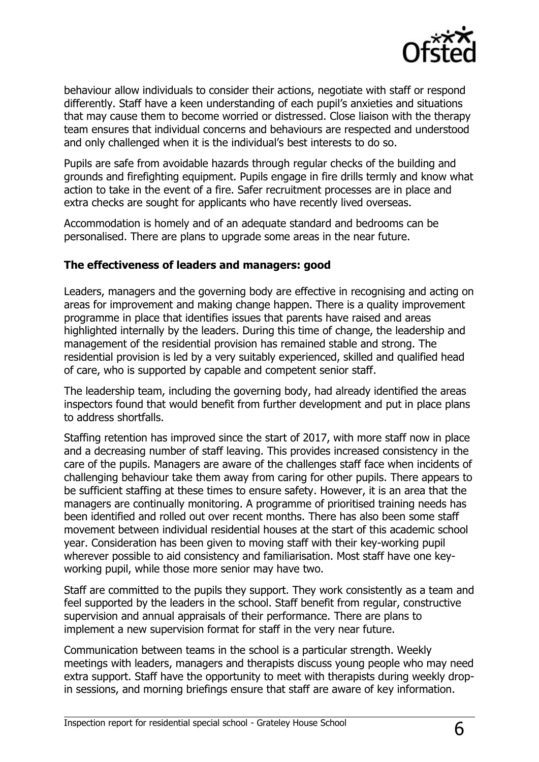

behaviour allow individuals to consider their actions, negotiate with staff or respond differently. Staff have a keen understanding of each pupil's anxieties and situations that may cause them to become worried or distressed. Close liaison with the therapy team ensures that individual concerns and behaviours are respected and understood and only challenged when it is the individual's best interests to do so.

Pupils are safe from avoidable hazards through regular checks of the building and grounds and firefighting equipment. Pupils engage in fire drills termly and know what action to take in the event of a fire. Safer recruitment processes are in place and extra checks are sought for applicants who have recently lived overseas.

Accommodation is homely and of an adequate standard and bedrooms can be personalised. There are plans to upgrade some areas in the near future.

#### **The effectiveness of leaders and managers: good**

Leaders, managers and the governing body are effective in recognising and acting on areas for improvement and making change happen. There is a quality improvement programme in place that identifies issues that parents have raised and areas highlighted internally by the leaders. During this time of change, the leadership and management of the residential provision has remained stable and strong. The residential provision is led by a very suitably experienced, skilled and qualified head of care, who is supported by capable and competent senior staff.

The leadership team, including the governing body, had already identified the areas inspectors found that would benefit from further development and put in place plans to address shortfalls.

Staffing retention has improved since the start of 2017, with more staff now in place and a decreasing number of staff leaving. This provides increased consistency in the care of the pupils. Managers are aware of the challenges staff face when incidents of challenging behaviour take them away from caring for other pupils. There appears to be sufficient staffing at these times to ensure safety. However, it is an area that the managers are continually monitoring. A programme of prioritised training needs has been identified and rolled out over recent months. There has also been some staff movement between individual residential houses at the start of this academic school year. Consideration has been given to moving staff with their key-working pupil wherever possible to aid consistency and familiarisation. Most staff have one keyworking pupil, while those more senior may have two.

Staff are committed to the pupils they support. They work consistently as a team and feel supported by the leaders in the school. Staff benefit from regular, constructive supervision and annual appraisals of their performance. There are plans to implement a new supervision format for staff in the very near future.

Communication between teams in the school is a particular strength. Weekly meetings with leaders, managers and therapists discuss young people who may need extra support. Staff have the opportunity to meet with therapists during weekly dropin sessions, and morning briefings ensure that staff are aware of key information.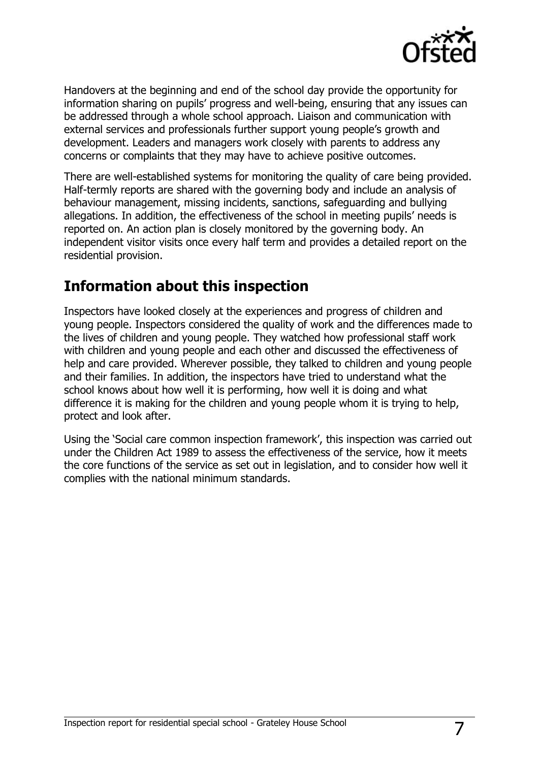

Handovers at the beginning and end of the school day provide the opportunity for information sharing on pupils' progress and well-being, ensuring that any issues can be addressed through a whole school approach. Liaison and communication with external services and professionals further support young people's growth and development. Leaders and managers work closely with parents to address any concerns or complaints that they may have to achieve positive outcomes.

There are well-established systems for monitoring the quality of care being provided. Half-termly reports are shared with the governing body and include an analysis of behaviour management, missing incidents, sanctions, safeguarding and bullying allegations. In addition, the effectiveness of the school in meeting pupils' needs is reported on. An action plan is closely monitored by the governing body. An independent visitor visits once every half term and provides a detailed report on the residential provision.

### **Information about this inspection**

Inspectors have looked closely at the experiences and progress of children and young people. Inspectors considered the quality of work and the differences made to the lives of children and young people. They watched how professional staff work with children and young people and each other and discussed the effectiveness of help and care provided. Wherever possible, they talked to children and young people and their families. In addition, the inspectors have tried to understand what the school knows about how well it is performing, how well it is doing and what difference it is making for the children and young people whom it is trying to help, protect and look after.

Using the 'Social care common inspection framework', this inspection was carried out under the Children Act 1989 to assess the effectiveness of the service, how it meets the core functions of the service as set out in legislation, and to consider how well it complies with the national minimum standards.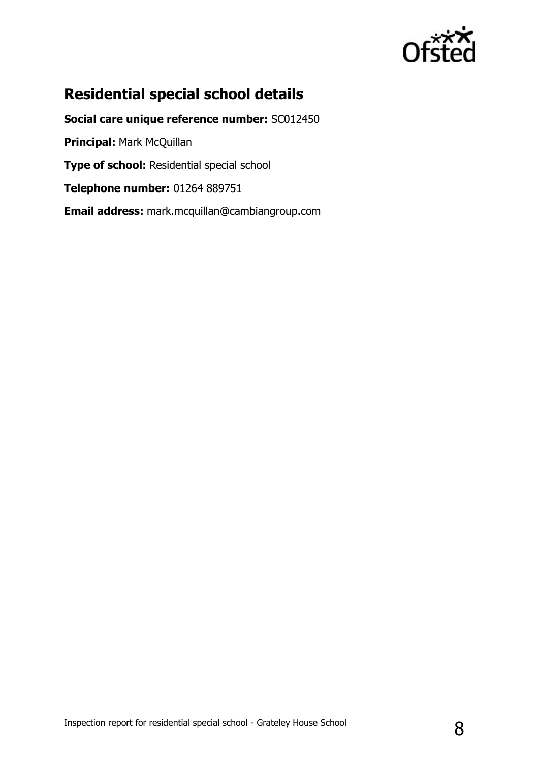

### **Residential special school details**

**Social care unique reference number:** SC012450 **Principal:** Mark McQuillan **Type of school:** Residential special school **Telephone number:** 01264 889751 **Email address:** mark.mcquillan@cambiangroup.com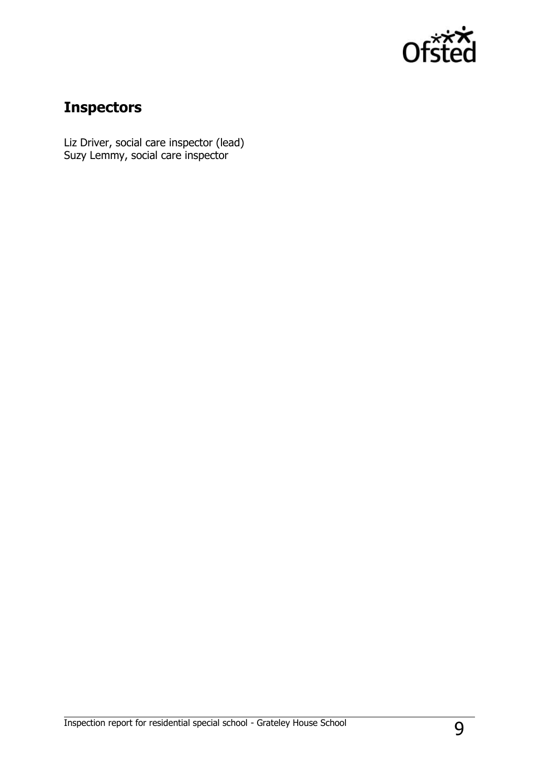

## **Inspectors**

Liz Driver, social care inspector (lead) Suzy Lemmy, social care inspector